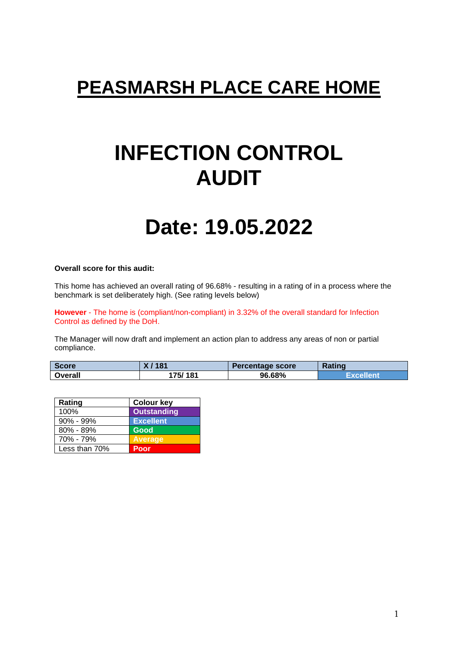# **PEASMARSH PLACE CARE HOME**

# **INFECTION CONTROL AUDIT**

# **Date: 19.05.2022**

#### **Overall score for this audit:**

This home has achieved an overall rating of 96.68% - resulting in a rating of in a process where the benchmark is set deliberately high. (See rating levels below)

**However** - The home is (compliant/non-compliant) in 3.32% of the overall standard for Infection Control as defined by the DoH.

The Manager will now draft and implement an action plan to address any areas of non or partial compliance.

| <b>Score</b> | 181      | Percentage score | Rating    |
|--------------|----------|------------------|-----------|
| Overall      | 175/ 181 | 96.68%           | Excellent |

| Rating        | <b>Colour key</b>  |
|---------------|--------------------|
| 100%          | <b>Outstanding</b> |
| $90\% - 99\%$ | <b>Excellent</b>   |
| $80\% - 89\%$ | <b>Good</b>        |
| 70% - 79%     | <b>Average</b>     |
| Less than 70% | Poor               |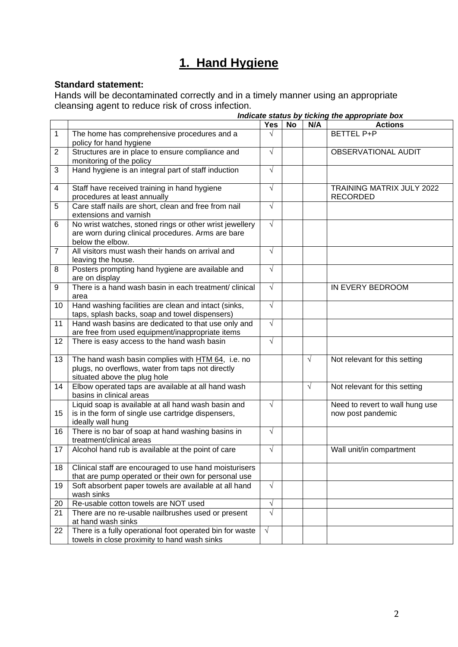## **1. Hand Hygiene**

### **Standard statement:**

Hands will be decontaminated correctly and in a timely manner using an appropriate cleansing agent to reduce risk of cross infection. *Indicate status by ticking the appropriate box*

|                |                                                                                                                                        |            |    |            | Indicate status by ticking the appropriate box       |
|----------------|----------------------------------------------------------------------------------------------------------------------------------------|------------|----|------------|------------------------------------------------------|
|                |                                                                                                                                        | <b>Yes</b> | No | N/A        | <b>Actions</b>                                       |
| $\mathbf{1}$   | The home has comprehensive procedures and a<br>policy for hand hygiene                                                                 | $\sqrt{ }$ |    |            | <b>BETTEL P+P</b>                                    |
| $\overline{2}$ | Structures are in place to ensure compliance and<br>monitoring of the policy                                                           | $\sqrt{}$  |    |            | <b>OBSERVATIONAL AUDIT</b>                           |
| 3              | Hand hygiene is an integral part of staff induction                                                                                    | $\sqrt{}$  |    |            |                                                      |
| 4              | Staff have received training in hand hygiene<br>procedures at least annually                                                           | $\sqrt{ }$ |    |            | <b>TRAINING MATRIX JULY 2022</b><br><b>RECORDED</b>  |
| 5              | Care staff nails are short, clean and free from nail<br>extensions and varnish                                                         | $\sqrt{}$  |    |            |                                                      |
| 6              | No wrist watches, stoned rings or other wrist jewellery<br>are worn during clinical procedures. Arms are bare<br>below the elbow.      | $\sqrt{ }$ |    |            |                                                      |
| $\overline{7}$ | All visitors must wash their hands on arrival and<br>leaving the house.                                                                | $\sqrt{ }$ |    |            |                                                      |
| 8              | Posters prompting hand hygiene are available and<br>are on display                                                                     | $\sqrt{}$  |    |            |                                                      |
| 9              | There is a hand wash basin in each treatment/ clinical<br>area                                                                         | $\sqrt{}$  |    |            | <b>IN EVERY BEDROOM</b>                              |
| 10             | Hand washing facilities are clean and intact (sinks,<br>taps, splash backs, soap and towel dispensers)                                 | $\sqrt{}$  |    |            |                                                      |
| 11             | Hand wash basins are dedicated to that use only and<br>are free from used equipment/inappropriate items                                | $\sqrt{ }$ |    |            |                                                      |
| 12             | There is easy access to the hand wash basin                                                                                            | $\sqrt{ }$ |    |            |                                                      |
| 13             | The hand wash basin complies with HTM 64, i.e. no<br>plugs, no overflows, water from taps not directly<br>situated above the plug hole |            |    | $\sqrt{ }$ | Not relevant for this setting                        |
| 14             | Elbow operated taps are available at all hand wash<br>basins in clinical areas                                                         |            |    | $\sqrt{ }$ | Not relevant for this setting                        |
| 15             | Liquid soap is available at all hand wash basin and<br>is in the form of single use cartridge dispensers,<br>ideally wall hung         | $\sqrt{}$  |    |            | Need to revert to wall hung use<br>now post pandemic |
| 16             | There is no bar of soap at hand washing basins in<br>treatment/clinical areas                                                          | $\sqrt{ }$ |    |            |                                                      |
| 17             | Alcohol hand rub is available at the point of care                                                                                     | $\sqrt{}$  |    |            | Wall unit/in compartment                             |
| 18             | Clinical staff are encouraged to use hand moisturisers<br>that are pump operated or their own for personal use                         |            |    |            |                                                      |
| 19             | Soft absorbent paper towels are available at all hand<br>wash sinks                                                                    | $\sqrt{ }$ |    |            |                                                      |
| 20             | Re-usable cotton towels are NOT used                                                                                                   | $\sqrt{}$  |    |            |                                                      |
| 21             | There are no re-usable nailbrushes used or present<br>at hand wash sinks                                                               | $\sqrt{ }$ |    |            |                                                      |
| 22             | There is a fully operational foot operated bin for waste<br>towels in close proximity to hand wash sinks                               | $\sqrt{ }$ |    |            |                                                      |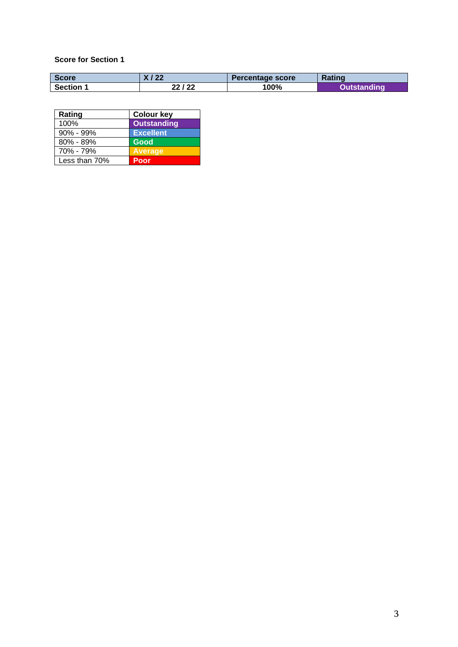| <b>Score</b>   | X / 22  | Percentage score | <b>Rating</b> |
|----------------|---------|------------------|---------------|
| <b>Section</b> | 22 / 22 | 100%             | dina          |

| Rating        | <b>Colour key</b>  |
|---------------|--------------------|
| 100%          | <b>Outstanding</b> |
| $90\% - 99\%$ | <b>Excellent</b>   |
| $80\% - 89\%$ | Good               |
| 70% - 79%     | <b>Average</b>     |
| Less than 70% | Poor               |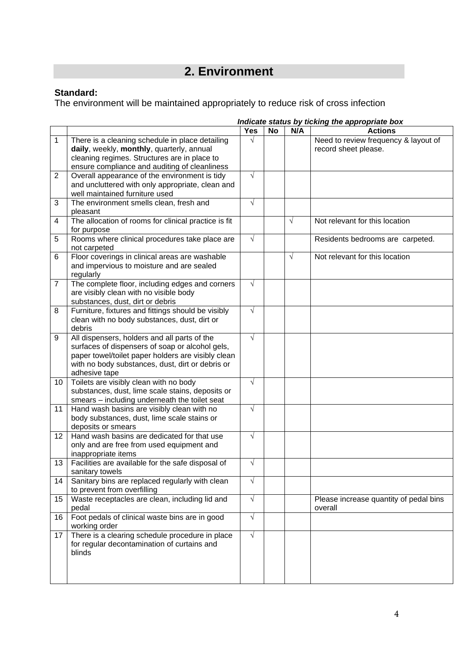# **2. Environment**

### **Standard:**

The environment will be maintained appropriately to reduce risk of cross infection

|                |                                                      |            |           |            | Indicate status by ticking the appropriate box |
|----------------|------------------------------------------------------|------------|-----------|------------|------------------------------------------------|
|                |                                                      | <b>Yes</b> | <b>No</b> | N/A        | <b>Actions</b>                                 |
| 1              | There is a cleaning schedule in place detailing      | $\sqrt{}$  |           |            | Need to review frequency & layout of           |
|                | daily, weekly, monthly, quarterly, annual            |            |           |            | record sheet please.                           |
|                | cleaning regimes. Structures are in place to         |            |           |            |                                                |
|                | ensure compliance and auditing of cleanliness        |            |           |            |                                                |
| 2              | Overall appearance of the environment is tidy        | $\sqrt{}$  |           |            |                                                |
|                | and uncluttered with only appropriate, clean and     |            |           |            |                                                |
|                | well maintained furniture used                       |            |           |            |                                                |
| 3              | The environment smells clean, fresh and              | $\sqrt{ }$ |           |            |                                                |
|                | pleasant                                             |            |           |            |                                                |
| 4              | The allocation of rooms for clinical practice is fit |            |           | $\sqrt{ }$ | Not relevant for this location                 |
|                | for purpose                                          |            |           |            |                                                |
| 5              | Rooms where clinical procedures take place are       | $\sqrt{ }$ |           |            | Residents bedrooms are carpeted.               |
|                | not carpeted                                         |            |           |            |                                                |
| 6              | Floor coverings in clinical areas are washable       |            |           | $\sqrt{}$  | Not relevant for this location                 |
|                | and impervious to moisture and are sealed            |            |           |            |                                                |
|                | regularly                                            |            |           |            |                                                |
| $\overline{7}$ | The complete floor, including edges and corners      | $\sqrt{ }$ |           |            |                                                |
|                | are visibly clean with no visible body               |            |           |            |                                                |
|                | substances, dust, dirt or debris                     |            |           |            |                                                |
| 8              | Furniture, fixtures and fittings should be visibly   | $\sqrt{ }$ |           |            |                                                |
|                | clean with no body substances, dust, dirt or         |            |           |            |                                                |
|                | debris                                               |            |           |            |                                                |
| 9              | All dispensers, holders and all parts of the         | $\sqrt{ }$ |           |            |                                                |
|                | surfaces of dispensers of soap or alcohol gels,      |            |           |            |                                                |
|                | paper towel/toilet paper holders are visibly clean   |            |           |            |                                                |
|                | with no body substances, dust, dirt or debris or     |            |           |            |                                                |
|                | adhesive tape                                        |            |           |            |                                                |
| 10             | Toilets are visibly clean with no body               | $\sqrt{ }$ |           |            |                                                |
|                | substances, dust, lime scale stains, deposits or     |            |           |            |                                                |
|                | smears - including underneath the toilet seat        |            |           |            |                                                |
| 11             | Hand wash basins are visibly clean with no           | $\sqrt{ }$ |           |            |                                                |
|                | body substances, dust, lime scale stains or          |            |           |            |                                                |
|                | deposits or smears                                   |            |           |            |                                                |
| 12             | Hand wash basins are dedicated for that use          | $\sqrt{ }$ |           |            |                                                |
|                | only and are free from used equipment and            |            |           |            |                                                |
|                | inappropriate items                                  |            |           |            |                                                |
| 13             | Facilities are available for the safe disposal of    | $\sqrt{ }$ |           |            |                                                |
|                | sanitary towels                                      |            |           |            |                                                |
| 14             | Sanitary bins are replaced regularly with clean      | $\sqrt{ }$ |           |            |                                                |
|                | to prevent from overfilling                          |            |           |            |                                                |
| 15             | Waste receptacles are clean, including lid and       | $\sqrt{ }$ |           |            | Please increase quantity of pedal bins         |
|                | pedal                                                |            |           |            | overall                                        |
| 16             | Foot pedals of clinical waste bins are in good       | $\sqrt{ }$ |           |            |                                                |
|                | working order                                        |            |           |            |                                                |
| 17             | There is a clearing schedule procedure in place      | $\sqrt{ }$ |           |            |                                                |
|                | for regular decontamination of curtains and          |            |           |            |                                                |
|                | blinds                                               |            |           |            |                                                |
|                |                                                      |            |           |            |                                                |
|                |                                                      |            |           |            |                                                |
|                |                                                      |            |           |            |                                                |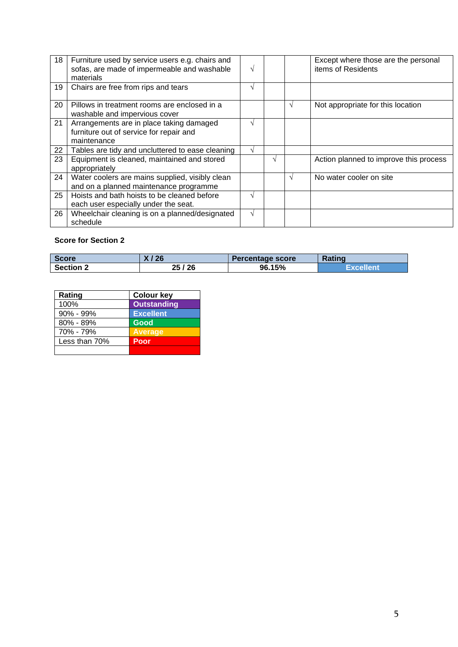| 18 | Furniture used by service users e.g. chairs and<br>sofas, are made of impermeable and washable<br>materials | $\sqrt{ }$ |   |           | Except where those are the personal<br>items of Residents |
|----|-------------------------------------------------------------------------------------------------------------|------------|---|-----------|-----------------------------------------------------------|
| 19 | Chairs are free from rips and tears                                                                         | $\sqrt{ }$ |   |           |                                                           |
| 20 | Pillows in treatment rooms are enclosed in a<br>washable and impervious cover                               |            |   |           | Not appropriate for this location                         |
| 21 | Arrangements are in place taking damaged<br>furniture out of service for repair and<br>maintenance          | $\sqrt{ }$ |   |           |                                                           |
| 22 | Tables are tidy and uncluttered to ease cleaning                                                            | $\sqrt{ }$ |   |           |                                                           |
| 23 | Equipment is cleaned, maintained and stored<br>appropriately                                                |            | V |           | Action planned to improve this process                    |
| 24 | Water coolers are mains supplied, visibly clean<br>and on a planned maintenance programme                   |            |   | $\lambda$ | No water cooler on site                                   |
| 25 | Hoists and bath hoists to be cleaned before<br>each user especially under the seat.                         | $\sqrt{ }$ |   |           |                                                           |
| 26 | Wheelchair cleaning is on a planned/designated<br>schedule                                                  | $\sqrt{ }$ |   |           |                                                           |

| <b>Score</b>     | '26     | Percentage score | Rating    |
|------------------|---------|------------------|-----------|
| <b>Section 2</b> | 25 / 26 | 96.15%           | Excellent |

| Rating        | <b>Colour key</b>  |
|---------------|--------------------|
| 100%          | <b>Outstanding</b> |
| 90% - 99%     | <b>Excellent</b>   |
| $80\% - 89\%$ | Good               |
| 70% - 79%     | <b>Average</b>     |
| Less than 70% | Poor               |
|               |                    |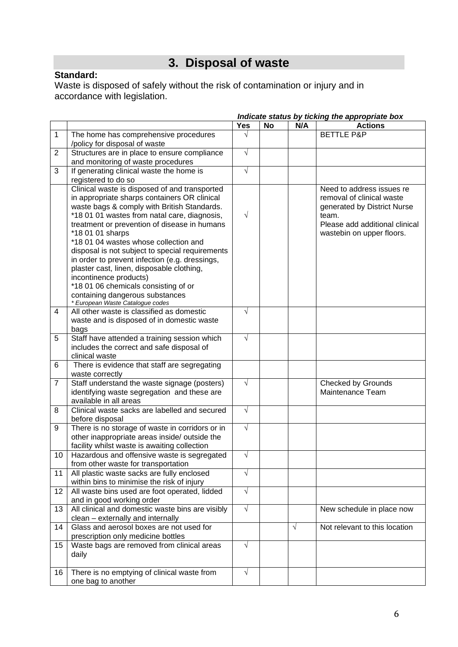## **3. Disposal of waste**

### **Standard:**

Waste is disposed of safely without the risk of contamination or injury and in accordance with legislation.

|                |                                                                                                                                                                                                                                                                                                                                                                                                                                                                                       | <b>Yes</b> | <b>No</b> | N/A        | <b>Actions</b>                                                                                                                                                |
|----------------|---------------------------------------------------------------------------------------------------------------------------------------------------------------------------------------------------------------------------------------------------------------------------------------------------------------------------------------------------------------------------------------------------------------------------------------------------------------------------------------|------------|-----------|------------|---------------------------------------------------------------------------------------------------------------------------------------------------------------|
|                |                                                                                                                                                                                                                                                                                                                                                                                                                                                                                       |            |           |            |                                                                                                                                                               |
| $\mathbf{1}$   | The home has comprehensive procedures                                                                                                                                                                                                                                                                                                                                                                                                                                                 |            |           |            | <b>BETTLE P&amp;P</b>                                                                                                                                         |
|                | /policy for disposal of waste                                                                                                                                                                                                                                                                                                                                                                                                                                                         |            |           |            |                                                                                                                                                               |
| $\overline{c}$ | Structures are in place to ensure compliance                                                                                                                                                                                                                                                                                                                                                                                                                                          | $\sqrt{}$  |           |            |                                                                                                                                                               |
|                | and monitoring of waste procedures                                                                                                                                                                                                                                                                                                                                                                                                                                                    |            |           |            |                                                                                                                                                               |
| 3              | If generating clinical waste the home is                                                                                                                                                                                                                                                                                                                                                                                                                                              | $\sqrt{}$  |           |            |                                                                                                                                                               |
|                | registered to do so                                                                                                                                                                                                                                                                                                                                                                                                                                                                   |            |           |            |                                                                                                                                                               |
|                | Clinical waste is disposed of and transported<br>in appropriate sharps containers OR clinical<br>waste bags & comply with British Standards.<br>*18 01 01 wastes from natal care, diagnosis,<br>treatment or prevention of disease in humans<br>*18 01 01 sharps<br>*18 01 04 wastes whose collection and<br>disposal is not subject to special requirements<br>in order to prevent infection (e.g. dressings,<br>plaster cast, linen, disposable clothing,<br>incontinence products) | $\sqrt{}$  |           |            | Need to address issues re<br>removal of clinical waste<br>generated by District Nurse<br>team.<br>Please add additional clinical<br>wastebin on upper floors. |
|                | *18 01 06 chemicals consisting of or                                                                                                                                                                                                                                                                                                                                                                                                                                                  |            |           |            |                                                                                                                                                               |
|                | containing dangerous substances                                                                                                                                                                                                                                                                                                                                                                                                                                                       |            |           |            |                                                                                                                                                               |
| 4              | * European Waste Catalogue codes<br>All other waste is classified as domestic                                                                                                                                                                                                                                                                                                                                                                                                         | V          |           |            |                                                                                                                                                               |
|                | waste and is disposed of in domestic waste                                                                                                                                                                                                                                                                                                                                                                                                                                            |            |           |            |                                                                                                                                                               |
|                | bags                                                                                                                                                                                                                                                                                                                                                                                                                                                                                  |            |           |            |                                                                                                                                                               |
| 5              | Staff have attended a training session which                                                                                                                                                                                                                                                                                                                                                                                                                                          | $\sqrt{}$  |           |            |                                                                                                                                                               |
|                | includes the correct and safe disposal of                                                                                                                                                                                                                                                                                                                                                                                                                                             |            |           |            |                                                                                                                                                               |
|                | clinical waste                                                                                                                                                                                                                                                                                                                                                                                                                                                                        |            |           |            |                                                                                                                                                               |
| 6              | There is evidence that staff are segregating                                                                                                                                                                                                                                                                                                                                                                                                                                          |            |           |            |                                                                                                                                                               |
|                | waste correctly                                                                                                                                                                                                                                                                                                                                                                                                                                                                       |            |           |            |                                                                                                                                                               |
| $\overline{7}$ | Staff understand the waste signage (posters)                                                                                                                                                                                                                                                                                                                                                                                                                                          | $\sqrt{}$  |           |            | <b>Checked by Grounds</b>                                                                                                                                     |
|                | identifying waste segregation and these are                                                                                                                                                                                                                                                                                                                                                                                                                                           |            |           |            | Maintenance Team                                                                                                                                              |
|                | available in all areas                                                                                                                                                                                                                                                                                                                                                                                                                                                                |            |           |            |                                                                                                                                                               |
| 8              | Clinical waste sacks are labelled and secured                                                                                                                                                                                                                                                                                                                                                                                                                                         | $\sqrt{}$  |           |            |                                                                                                                                                               |
|                | before disposal                                                                                                                                                                                                                                                                                                                                                                                                                                                                       |            |           |            |                                                                                                                                                               |
| 9              | There is no storage of waste in corridors or in<br>other inappropriate areas inside/outside the                                                                                                                                                                                                                                                                                                                                                                                       | $\sqrt{}$  |           |            |                                                                                                                                                               |
|                | facility whilst waste is awaiting collection                                                                                                                                                                                                                                                                                                                                                                                                                                          |            |           |            |                                                                                                                                                               |
| 10             | Hazardous and offensive waste is segregated                                                                                                                                                                                                                                                                                                                                                                                                                                           | $\sqrt{}$  |           |            |                                                                                                                                                               |
|                | from other waste for transportation                                                                                                                                                                                                                                                                                                                                                                                                                                                   |            |           |            |                                                                                                                                                               |
| 11             | All plastic waste sacks are fully enclosed                                                                                                                                                                                                                                                                                                                                                                                                                                            | V          |           |            |                                                                                                                                                               |
|                | within bins to minimise the risk of injury                                                                                                                                                                                                                                                                                                                                                                                                                                            |            |           |            |                                                                                                                                                               |
| 12             | All waste bins used are foot operated, lidded                                                                                                                                                                                                                                                                                                                                                                                                                                         | $\sqrt{}$  |           |            |                                                                                                                                                               |
|                | and in good working order                                                                                                                                                                                                                                                                                                                                                                                                                                                             |            |           |            |                                                                                                                                                               |
| 13             | All clinical and domestic waste bins are visibly                                                                                                                                                                                                                                                                                                                                                                                                                                      | $\sqrt{}$  |           |            | New schedule in place now                                                                                                                                     |
|                | clean - externally and internally                                                                                                                                                                                                                                                                                                                                                                                                                                                     |            |           |            |                                                                                                                                                               |
| 14             | Glass and aerosol boxes are not used for                                                                                                                                                                                                                                                                                                                                                                                                                                              |            |           | $\sqrt{ }$ | Not relevant to this location                                                                                                                                 |
|                | prescription only medicine bottles                                                                                                                                                                                                                                                                                                                                                                                                                                                    |            |           |            |                                                                                                                                                               |
| 15             | Waste bags are removed from clinical areas                                                                                                                                                                                                                                                                                                                                                                                                                                            | $\sqrt{}$  |           |            |                                                                                                                                                               |
|                | daily                                                                                                                                                                                                                                                                                                                                                                                                                                                                                 |            |           |            |                                                                                                                                                               |
|                |                                                                                                                                                                                                                                                                                                                                                                                                                                                                                       |            |           |            |                                                                                                                                                               |
| 16             | There is no emptying of clinical waste from<br>one bag to another                                                                                                                                                                                                                                                                                                                                                                                                                     | V          |           |            |                                                                                                                                                               |

#### *Indicate status by ticking the appropriate box*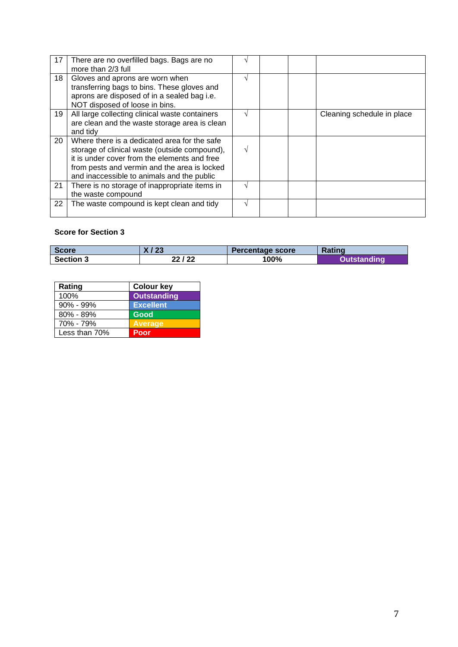| 17 | There are no overfilled bags. Bags are no<br>more than 2/3 full                                                                                                                                                                             |  |                            |
|----|---------------------------------------------------------------------------------------------------------------------------------------------------------------------------------------------------------------------------------------------|--|----------------------------|
| 18 | Gloves and aprons are worn when<br>transferring bags to bins. These gloves and<br>aprons are disposed of in a sealed bag i.e.<br>NOT disposed of loose in bins.                                                                             |  |                            |
| 19 | All large collecting clinical waste containers<br>are clean and the waste storage area is clean<br>and tidy                                                                                                                                 |  | Cleaning schedule in place |
| 20 | Where there is a dedicated area for the safe<br>storage of clinical waste (outside compound),<br>it is under cover from the elements and free<br>from pests and vermin and the area is locked<br>and inaccessible to animals and the public |  |                            |
| 21 | There is no storage of inappropriate items in<br>the waste compound                                                                                                                                                                         |  |                            |
| 22 | The waste compound is kept clean and tidy                                                                                                                                                                                                   |  |                            |

| <b>Score</b>     | / 23<br>^ ' | Percentage score | <b>Rating</b>      |
|------------------|-------------|------------------|--------------------|
| <b>Section 3</b> | 22 / 22     | 100%             | <b>Qutstanding</b> |

| Rating        | <b>Colour key</b>  |
|---------------|--------------------|
| 100%          | <b>Outstanding</b> |
| $90\% - 99\%$ | <b>Excellent</b>   |
| $80\% - 89\%$ | Good               |
| 70% - 79%     | <b>Average</b>     |
| Less than 70% | Poor               |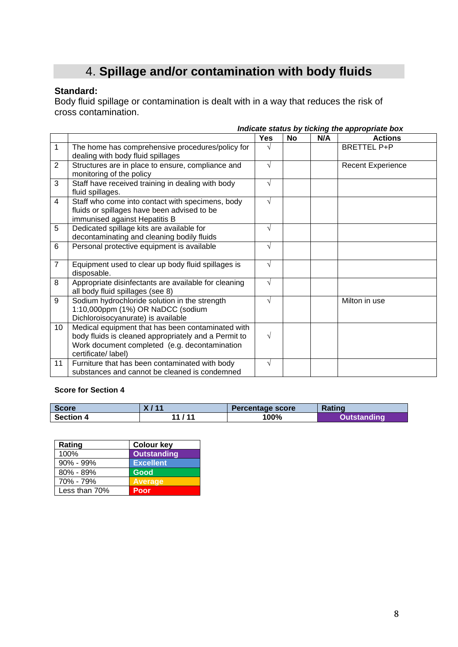# 4. **Spillage and/or contamination with body fluids**

### **Standard:**

Body fluid spillage or contamination is dealt with in a way that reduces the risk of cross contamination.

|                |                                                                                                                                                                                   |            |           |     | Indicate status by ticking the appropriate box |
|----------------|-----------------------------------------------------------------------------------------------------------------------------------------------------------------------------------|------------|-----------|-----|------------------------------------------------|
|                |                                                                                                                                                                                   | <b>Yes</b> | <b>No</b> | N/A | <b>Actions</b>                                 |
| $\mathbf{1}$   | The home has comprehensive procedures/policy for<br>dealing with body fluid spillages                                                                                             | V          |           |     | <b>BRETTEL P+P</b>                             |
| 2              | Structures are in place to ensure, compliance and<br>monitoring of the policy                                                                                                     | $\sqrt{ }$ |           |     | <b>Recent Experience</b>                       |
| 3              | Staff have received training in dealing with body<br>fluid spillages.                                                                                                             | $\sqrt{}$  |           |     |                                                |
| 4              | Staff who come into contact with specimens, body<br>fluids or spillages have been advised to be<br>immunised against Hepatitis B                                                  | $\sqrt{ }$ |           |     |                                                |
| 5              | Dedicated spillage kits are available for<br>decontaminating and cleaning bodily fluids                                                                                           | $\sqrt{}$  |           |     |                                                |
| 6              | Personal protective equipment is available                                                                                                                                        | $\sqrt{ }$ |           |     |                                                |
| $\overline{7}$ | Equipment used to clear up body fluid spillages is<br>disposable.                                                                                                                 | $\sqrt{}$  |           |     |                                                |
| 8              | Appropriate disinfectants are available for cleaning<br>all body fluid spillages (see 8)                                                                                          | $\sqrt{}$  |           |     |                                                |
| 9              | Sodium hydrochloride solution in the strength<br>1:10,000ppm (1%) OR NaDCC (sodium<br>Dichloroisocyanurate) is available                                                          | $\sqrt{}$  |           |     | Milton in use                                  |
| 10             | Medical equipment that has been contaminated with<br>body fluids is cleaned appropriately and a Permit to<br>Work document completed (e.g. decontamination<br>certificate/ label) | $\sqrt{ }$ |           |     |                                                |
| 11             | Furniture that has been contaminated with body<br>substances and cannot be cleaned is condemned                                                                                   | $\sqrt{}$  |           |     |                                                |

| <b>Score</b>     | Y 111            | Percentage score | <b>Rating</b>      |
|------------------|------------------|------------------|--------------------|
| <b>Section 4</b> | <i>1</i> 44<br>м | 100%             | <b>Dutstanding</b> |

| Rating        | <b>Colour key</b>  |
|---------------|--------------------|
| 100%          | <b>Outstanding</b> |
| $90\% - 99\%$ | <b>Excellent</b>   |
| $80\% - 89\%$ | Good               |
| 70% - 79%     | <b>Average</b>     |
| Less than 70% | Poor               |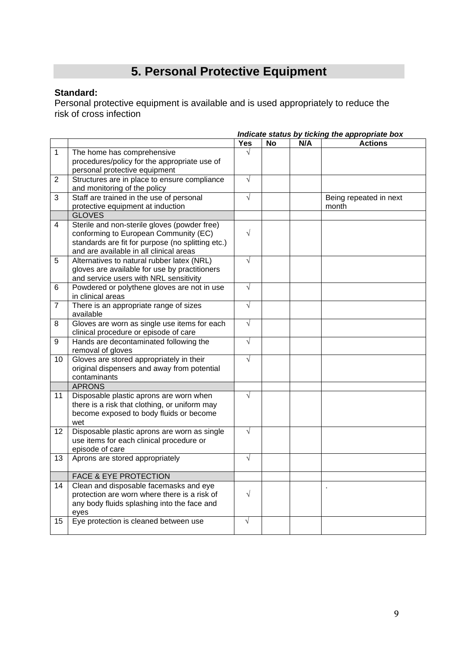# **5. Personal Protective Equipment**

### **Standard:**

Personal protective equipment is available and is used appropriately to reduce the risk of cross infection

|                |                                                                                                                                                                                       | Indicate status by ticking the appropriate box |           |     |                                 |
|----------------|---------------------------------------------------------------------------------------------------------------------------------------------------------------------------------------|------------------------------------------------|-----------|-----|---------------------------------|
|                |                                                                                                                                                                                       | <b>Yes</b>                                     | <b>No</b> | N/A | <b>Actions</b>                  |
| $\mathbf{1}$   | The home has comprehensive<br>procedures/policy for the appropriate use of<br>personal protective equipment                                                                           | $\sqrt{}$                                      |           |     |                                 |
| 2              | Structures are in place to ensure compliance<br>and monitoring of the policy                                                                                                          | $\sqrt{ }$                                     |           |     |                                 |
| 3              | Staff are trained in the use of personal<br>protective equipment at induction<br><b>GLOVES</b>                                                                                        | $\sqrt{}$                                      |           |     | Being repeated in next<br>month |
| 4              | Sterile and non-sterile gloves (powder free)<br>conforming to European Community (EC)<br>standards are fit for purpose (no splitting etc.)<br>and are available in all clinical areas | $\sqrt{}$                                      |           |     |                                 |
| 5              | Alternatives to natural rubber latex (NRL)<br>gloves are available for use by practitioners<br>and service users with NRL sensitivity                                                 | $\sqrt{}$                                      |           |     |                                 |
| 6              | Powdered or polythene gloves are not in use<br>in clinical areas                                                                                                                      | $\sqrt{ }$                                     |           |     |                                 |
| $\overline{7}$ | There is an appropriate range of sizes<br>available                                                                                                                                   | $\sqrt{}$                                      |           |     |                                 |
| 8              | Gloves are worn as single use items for each<br>clinical procedure or episode of care                                                                                                 | $\sqrt{ }$                                     |           |     |                                 |
| 9              | Hands are decontaminated following the<br>removal of gloves                                                                                                                           | $\sqrt{}$                                      |           |     |                                 |
| 10             | Gloves are stored appropriately in their<br>original dispensers and away from potential<br>contaminants                                                                               | $\sqrt{}$                                      |           |     |                                 |
|                | <b>APRONS</b>                                                                                                                                                                         |                                                |           |     |                                 |
| 11             | Disposable plastic aprons are worn when<br>there is a risk that clothing, or uniform may<br>become exposed to body fluids or become<br>wet                                            | $\sqrt{}$                                      |           |     |                                 |
| 12             | Disposable plastic aprons are worn as single<br>use items for each clinical procedure or<br>episode of care                                                                           | $\sqrt{}$                                      |           |     |                                 |
| 13             | Aprons are stored appropriately                                                                                                                                                       | $\sqrt{}$                                      |           |     |                                 |
|                | <b>FACE &amp; EYE PROTECTION</b>                                                                                                                                                      |                                                |           |     |                                 |
| 14             | Clean and disposable facemasks and eye<br>protection are worn where there is a risk of<br>any body fluids splashing into the face and<br>eyes                                         | $\sqrt{}$                                      |           |     |                                 |
| 15             | Eye protection is cleaned between use                                                                                                                                                 | $\sqrt{}$                                      |           |     |                                 |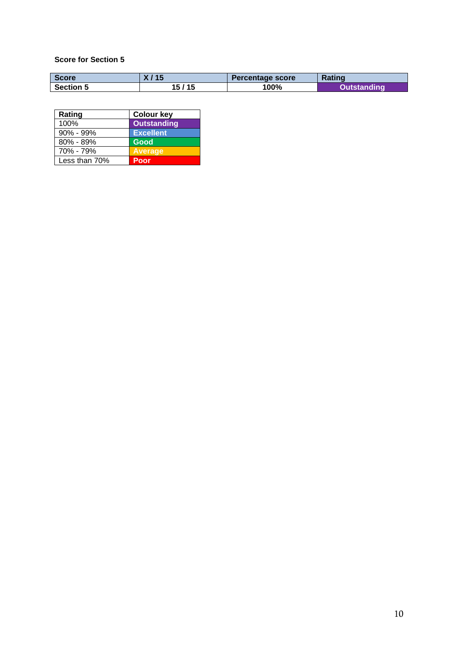| <b>Score</b>     | R    | Percentage score | <b>Rating</b> |
|------------------|------|------------------|---------------|
| <b>Section 5</b> | / 15 | 100%             | <b>ling</b>   |

| Rating        | <b>Colour key</b>  |
|---------------|--------------------|
| 100%          | <b>Outstanding</b> |
| $90\% - 99\%$ | <b>Excellent</b>   |
| $80\% - 89\%$ | Good               |
| 70% - 79%     | <b>Average</b>     |
| Less than 70% | Poor               |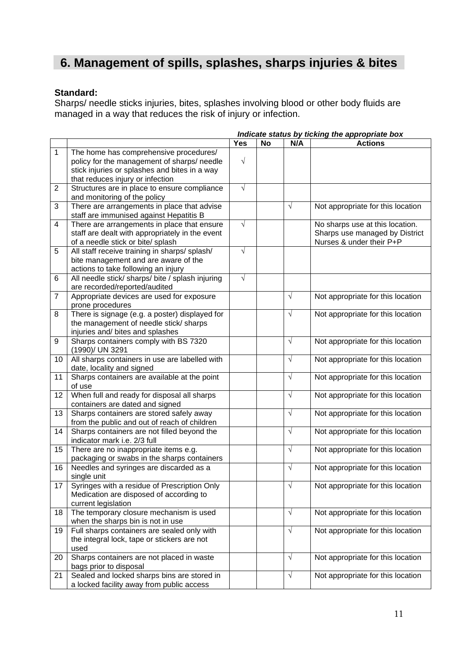### **6. Management of spills, splashes, sharps injuries & bites**

### **Standard:**

Sharps/ needle sticks injuries, bites, splashes involving blood or other body fluids are managed in a way that reduces the risk of injury or infection.

|                |                                                  |            |    |            | indicate status by ticking the appropriate box |
|----------------|--------------------------------------------------|------------|----|------------|------------------------------------------------|
|                |                                                  | <b>Yes</b> | No | N/A        | <b>Actions</b>                                 |
| $\mathbf{1}$   | The home has comprehensive procedures/           |            |    |            |                                                |
|                | policy for the management of sharps/ needle      | $\sqrt{ }$ |    |            |                                                |
|                | stick injuries or splashes and bites in a way    |            |    |            |                                                |
|                | that reduces injury or infection                 |            |    |            |                                                |
| $\overline{2}$ | Structures are in place to ensure compliance     | $\sqrt{ }$ |    |            |                                                |
|                | and monitoring of the policy                     |            |    |            |                                                |
| 3              | There are arrangements in place that advise      |            |    | $\sqrt{ }$ | Not appropriate for this location              |
|                | staff are immunised against Hepatitis B          |            |    |            |                                                |
| $\overline{4}$ | There are arrangements in place that ensure      | $\sqrt{}$  |    |            | No sharps use at this location.                |
|                | staff are dealt with appropriately in the event  |            |    |            | Sharps use managed by District                 |
|                | of a needle stick or bite/ splash                |            |    |            | Nurses & under their P+P                       |
| 5              | All staff receive training in sharps/splash/     | $\sqrt{}$  |    |            |                                                |
|                | bite management and are aware of the             |            |    |            |                                                |
|                | actions to take following an injury              |            |    |            |                                                |
| 6              | All needle stick/ sharps/ bite / splash injuring | $\sqrt{}$  |    |            |                                                |
|                | are recorded/reported/audited                    |            |    |            |                                                |
| $\overline{7}$ | Appropriate devices are used for exposure        |            |    | $\sqrt{ }$ | Not appropriate for this location              |
|                | prone procedures                                 |            |    |            |                                                |
| 8              | There is signage (e.g. a poster) displayed for   |            |    | $\sqrt{ }$ | Not appropriate for this location              |
|                | the management of needle stick/ sharps           |            |    |            |                                                |
|                | injuries and/ bites and splashes                 |            |    |            |                                                |
| 9              | Sharps containers comply with BS 7320            |            |    | $\sqrt{}$  | Not appropriate for this location              |
|                | (1990)/ UN 3291                                  |            |    |            |                                                |
| 10             | All sharps containers in use are labelled with   |            |    | $\sqrt{ }$ | Not appropriate for this location              |
|                | date, locality and signed                        |            |    |            |                                                |
| 11             | Sharps containers are available at the point     |            |    | $\sqrt{ }$ | Not appropriate for this location              |
|                | of use                                           |            |    |            |                                                |
| 12             | When full and ready for disposal all sharps      |            |    | $\sqrt{ }$ | Not appropriate for this location              |
|                | containers are dated and signed                  |            |    |            |                                                |
| 13             | Sharps containers are stored safely away         |            |    | $\sqrt{ }$ | Not appropriate for this location              |
|                | from the public and out of reach of children     |            |    |            |                                                |
| 14             | Sharps containers are not filled beyond the      |            |    | $\sqrt{ }$ | Not appropriate for this location              |
|                | indicator mark i.e. 2/3 full                     |            |    |            |                                                |
| 15             | There are no inappropriate items e.g.            |            |    | $\sqrt{ }$ | Not appropriate for this location              |
|                | packaging or swabs in the sharps containers      |            |    |            |                                                |
| 16             | Needles and syringes are discarded as a          |            |    | $\sqrt{ }$ | Not appropriate for this location              |
|                | single unit                                      |            |    |            |                                                |
| 17             | Syringes with a residue of Prescription Only     |            |    | $\sqrt{ }$ | Not appropriate for this location              |
|                | Medication are disposed of according to          |            |    |            |                                                |
|                | current legislation                              |            |    |            |                                                |
| 18             | The temporary closure mechanism is used          |            |    | $\sqrt{ }$ | Not appropriate for this location              |
|                | when the sharps bin is not in use                |            |    |            |                                                |
| 19             | Full sharps containers are sealed only with      |            |    | $\sqrt{ }$ | Not appropriate for this location              |
|                | the integral lock, tape or stickers are not      |            |    |            |                                                |
|                | used                                             |            |    |            |                                                |
| 20             | Sharps containers are not placed in waste        |            |    | $\sqrt{ }$ | Not appropriate for this location              |
|                | bags prior to disposal                           |            |    |            |                                                |
| 21             | Sealed and locked sharps bins are stored in      |            |    | $\sqrt{ }$ | Not appropriate for this location              |
|                | a locked facility away from public access        |            |    |            |                                                |

# *Indicate status by ticking the appropriate box*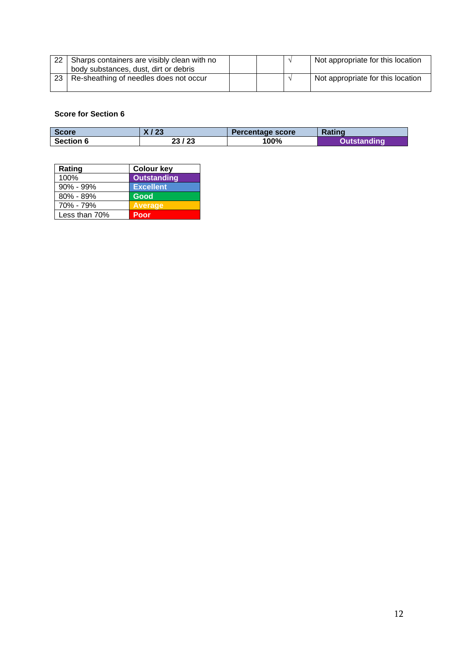| -22 | Sharps containers are visibly clean with no |  | Not appropriate for this location |
|-----|---------------------------------------------|--|-----------------------------------|
|     | body substances, dust, dirt or debris       |  |                                   |
| 23  | Re-sheathing of needles does not occur      |  | Not appropriate for this location |

| <b>Score</b>     | X / 23 | Percentage score | <b>Rating</b>      |
|------------------|--------|------------------|--------------------|
| <b>Section 6</b> | 23/23  | 100%             | <b>Outstanding</b> |

| Rating        | <b>Colour key</b>  |
|---------------|--------------------|
| 100%          | <b>Outstanding</b> |
| $90\% - 99\%$ | <b>Excellent</b>   |
| 80% - 89%     | Good               |
| 70% - 79%     | <b>Average</b>     |
| Less than 70% | Poor               |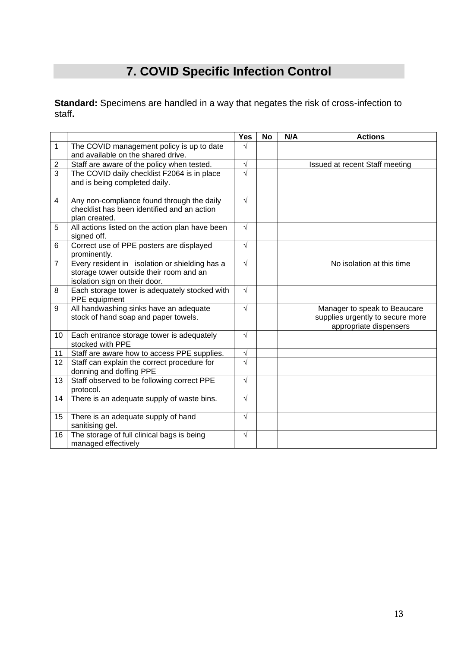# **7. COVID Specific Infection Control**

**Standard:** Specimens are handled in a way that negates the risk of cross-infection to staff**.**

|                |                                                                                                                            | Yes        | <b>No</b> | N/A | <b>Actions</b>                                                                             |
|----------------|----------------------------------------------------------------------------------------------------------------------------|------------|-----------|-----|--------------------------------------------------------------------------------------------|
| 1              | The COVID management policy is up to date<br>and available on the shared drive.                                            | $\sqrt{ }$ |           |     |                                                                                            |
| $\overline{2}$ | Staff are aware of the policy when tested.                                                                                 | $\sqrt{}$  |           |     | Issued at recent Staff meeting                                                             |
| 3              | The COVID daily checklist F2064 is in place<br>and is being completed daily.                                               | $\sqrt{}$  |           |     |                                                                                            |
| 4              | Any non-compliance found through the daily<br>checklist has been identified and an action<br>plan created.                 | $\sqrt{ }$ |           |     |                                                                                            |
| 5              | All actions listed on the action plan have been<br>signed off.                                                             | $\sqrt{ }$ |           |     |                                                                                            |
| 6              | Correct use of PPE posters are displayed<br>prominently.                                                                   | $\sqrt{ }$ |           |     |                                                                                            |
| $\overline{7}$ | Every resident in isolation or shielding has a<br>storage tower outside their room and an<br>isolation sign on their door. | $\sqrt{ }$ |           |     | No isolation at this time                                                                  |
| 8              | Each storage tower is adequately stocked with<br>PPE equipment                                                             | $\sqrt{ }$ |           |     |                                                                                            |
| 9              | All handwashing sinks have an adequate<br>stock of hand soap and paper towels.                                             | $\sqrt{ }$ |           |     | Manager to speak to Beaucare<br>supplies urgently to secure more<br>appropriate dispensers |
| 10             | Each entrance storage tower is adequately<br>stocked with PPE                                                              | $\sqrt{ }$ |           |     |                                                                                            |
| 11             | Staff are aware how to access PPE supplies.                                                                                | $\sqrt{}$  |           |     |                                                                                            |
| 12             | Staff can explain the correct procedure for<br>donning and doffing PPE                                                     | V          |           |     |                                                                                            |
| 13             | Staff observed to be following correct PPE<br>protocol.                                                                    | $\sqrt{ }$ |           |     |                                                                                            |
| 14             | There is an adequate supply of waste bins.                                                                                 | $\sqrt{ }$ |           |     |                                                                                            |
| 15             | There is an adequate supply of hand<br>sanitising gel.                                                                     | $\sqrt{ }$ |           |     |                                                                                            |
| 16             | The storage of full clinical bags is being<br>managed effectively                                                          | $\sqrt{ }$ |           |     |                                                                                            |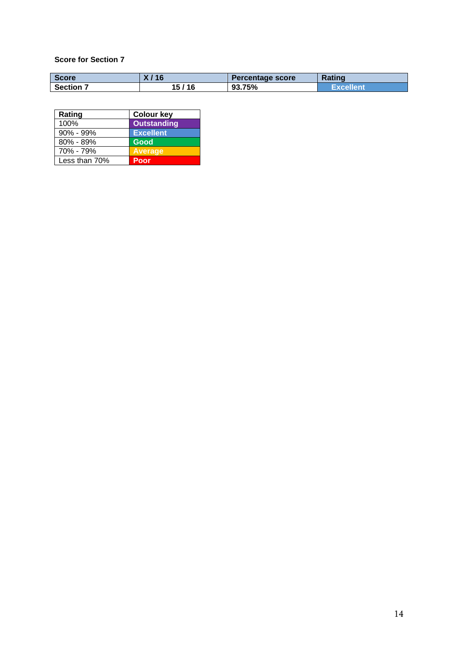| <b>Score</b> | I K 0 | Percentage score | <b>Rating</b> |
|--------------|-------|------------------|---------------|
| Section      | 116   | 93.75%           | Excellent     |

| Rating        | <b>Colour key</b>  |
|---------------|--------------------|
| 100%          | <b>Outstanding</b> |
| $90\% - 99\%$ | <b>Excellent</b>   |
| $80\% - 89\%$ | Good               |
| 70% - 79%     | <b>Average</b>     |
| Less than 70% | Poor               |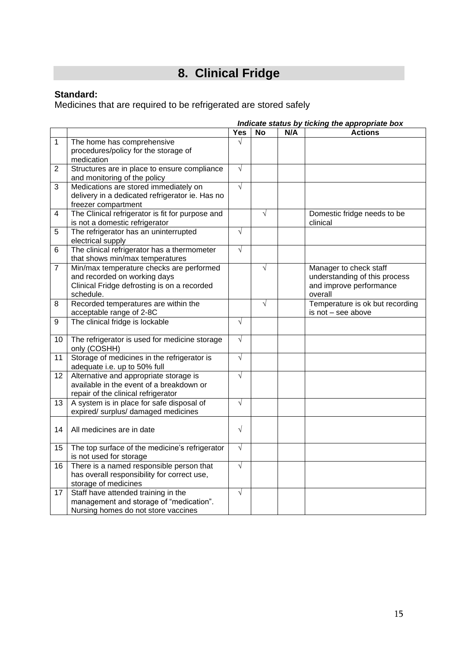# **8. Clinical Fridge**

### **Standard:**

Medicines that are required to be refrigerated are stored safely

|                         |                                                                                                                                      | Indicate status by ticking the appropriate box |            |     |                                                                                               |  |
|-------------------------|--------------------------------------------------------------------------------------------------------------------------------------|------------------------------------------------|------------|-----|-----------------------------------------------------------------------------------------------|--|
|                         |                                                                                                                                      | Yes                                            | <b>No</b>  | N/A | <b>Actions</b>                                                                                |  |
| 1                       | The home has comprehensive<br>procedures/policy for the storage of<br>medication                                                     | $\sqrt{ }$                                     |            |     |                                                                                               |  |
| 2                       | Structures are in place to ensure compliance<br>and monitoring of the policy                                                         | $\sqrt{}$                                      |            |     |                                                                                               |  |
| 3                       | Medications are stored immediately on<br>delivery in a dedicated refrigerator ie. Has no<br>freezer compartment                      | $\sqrt{}$                                      |            |     |                                                                                               |  |
| $\overline{\mathbf{4}}$ | The Clinical refrigerator is fit for purpose and<br>is not a domestic refrigerator                                                   |                                                | $\sqrt{}$  |     | Domestic fridge needs to be<br>clinical                                                       |  |
| 5                       | The refrigerator has an uninterrupted<br>electrical supply                                                                           | $\sqrt{ }$                                     |            |     |                                                                                               |  |
| 6                       | The clinical refrigerator has a thermometer<br>that shows min/max temperatures                                                       | $\sqrt{}$                                      |            |     |                                                                                               |  |
| $\overline{7}$          | Min/max temperature checks are performed<br>and recorded on working days<br>Clinical Fridge defrosting is on a recorded<br>schedule. |                                                | $\sqrt{ }$ |     | Manager to check staff<br>understanding of this process<br>and improve performance<br>overall |  |
| 8                       | Recorded temperatures are within the<br>acceptable range of 2-8C                                                                     |                                                | $\sqrt{ }$ |     | Temperature is ok but recording<br>is not - see above                                         |  |
| 9                       | The clinical fridge is lockable                                                                                                      | $\sqrt{ }$                                     |            |     |                                                                                               |  |
| 10                      | The refrigerator is used for medicine storage<br>only (COSHH)                                                                        | $\sqrt{}$                                      |            |     |                                                                                               |  |
| 11                      | Storage of medicines in the refrigerator is<br>adequate i.e. up to 50% full                                                          | $\sqrt{ }$                                     |            |     |                                                                                               |  |
| 12                      | Alternative and appropriate storage is<br>available in the event of a breakdown or<br>repair of the clinical refrigerator            | $\sqrt{}$                                      |            |     |                                                                                               |  |
| 13                      | A system is in place for safe disposal of<br>expired/ surplus/ damaged medicines                                                     | $\sqrt{}$                                      |            |     |                                                                                               |  |
| 14                      | All medicines are in date                                                                                                            | $\sqrt{ }$                                     |            |     |                                                                                               |  |
| 15                      | The top surface of the medicine's refrigerator<br>is not used for storage                                                            | $\sqrt{}$                                      |            |     |                                                                                               |  |
| 16                      | There is a named responsible person that<br>has overall responsibility for correct use,<br>storage of medicines                      | $\sqrt{}$                                      |            |     |                                                                                               |  |
| 17                      | Staff have attended training in the<br>management and storage of "medication".<br>Nursing homes do not store vaccines                | $\sqrt{ }$                                     |            |     |                                                                                               |  |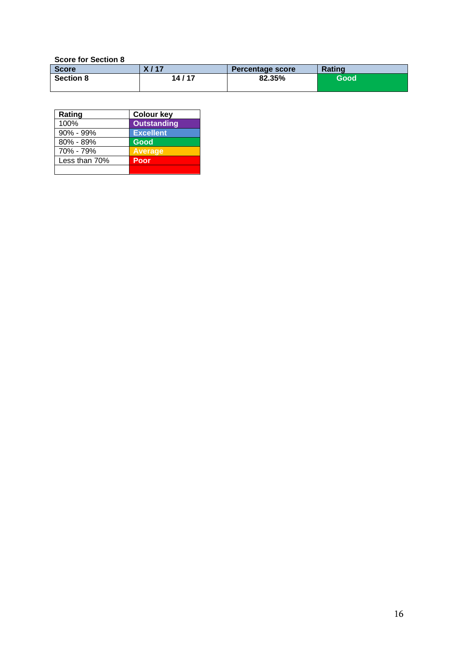| <b>Score</b>     | X / 17 | Percentage score | <b>Rating</b> |
|------------------|--------|------------------|---------------|
| <b>Section 8</b> | 14/17  | 82.35%           | Good          |

| Rating        | <b>Colour key</b>  |
|---------------|--------------------|
| 100%          | <b>Outstanding</b> |
| $90\% - 99\%$ | <b>Excellent</b>   |
| $80\% - 89\%$ | Good               |
| 70% - 79%     | <b>Average</b>     |
| Less than 70% | Poor               |
|               |                    |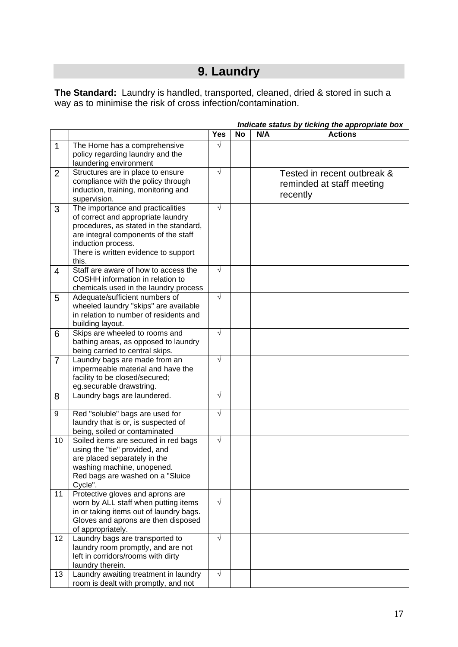# **9. Laundry**

**The Standard:** Laundry is handled, transported, cleaned, dried & stored in such a way as to minimise the risk of cross infection/contamination.

|                |                                                                                 | <b>Yes</b> | <b>No</b> | N/A | $\sim$ clutted by the line of applicities below<br><b>Actions</b> |
|----------------|---------------------------------------------------------------------------------|------------|-----------|-----|-------------------------------------------------------------------|
| $\mathbf 1$    | The Home has a comprehensive                                                    | $\sqrt{}$  |           |     |                                                                   |
|                | policy regarding laundry and the                                                |            |           |     |                                                                   |
|                | laundering environment                                                          |            |           |     |                                                                   |
| $\overline{2}$ | Structures are in place to ensure                                               | $\sqrt{ }$ |           |     | Tested in recent outbreak &                                       |
|                | compliance with the policy through                                              |            |           |     | reminded at staff meeting                                         |
|                | induction, training, monitoring and                                             |            |           |     |                                                                   |
|                | supervision.                                                                    |            |           |     | recently                                                          |
| 3              | The importance and practicalities                                               | $\sqrt{}$  |           |     |                                                                   |
|                | of correct and appropriate laundry                                              |            |           |     |                                                                   |
|                | procedures, as stated in the standard,                                          |            |           |     |                                                                   |
|                | are integral components of the staff                                            |            |           |     |                                                                   |
|                | induction process.                                                              |            |           |     |                                                                   |
|                | There is written evidence to support                                            |            |           |     |                                                                   |
|                | this.                                                                           |            |           |     |                                                                   |
| $\overline{4}$ | Staff are aware of how to access the                                            | $\sqrt{}$  |           |     |                                                                   |
|                | COSHH information in relation to                                                |            |           |     |                                                                   |
|                | chemicals used in the laundry process                                           |            |           |     |                                                                   |
| 5              | Adequate/sufficient numbers of                                                  | $\sqrt{}$  |           |     |                                                                   |
|                | wheeled laundry "skips" are available<br>in relation to number of residents and |            |           |     |                                                                   |
|                | building layout.                                                                |            |           |     |                                                                   |
| 6              | Skips are wheeled to rooms and                                                  | $\sqrt{ }$ |           |     |                                                                   |
|                | bathing areas, as opposed to laundry                                            |            |           |     |                                                                   |
|                | being carried to central skips.                                                 |            |           |     |                                                                   |
| $\overline{7}$ | Laundry bags are made from an                                                   | $\sqrt{}$  |           |     |                                                                   |
|                | impermeable material and have the                                               |            |           |     |                                                                   |
|                | facility to be closed/secured;                                                  |            |           |     |                                                                   |
|                | eg.securable drawstring.                                                        |            |           |     |                                                                   |
| 8              | Laundry bags are laundered.                                                     | $\sqrt{}$  |           |     |                                                                   |
|                |                                                                                 |            |           |     |                                                                   |
| 9              | Red "soluble" bags are used for                                                 | $\sqrt{}$  |           |     |                                                                   |
|                | laundry that is or, is suspected of                                             |            |           |     |                                                                   |
|                | being, soiled or contaminated                                                   |            |           |     |                                                                   |
| 10             | Soiled items are secured in red bags                                            | $\sqrt{}$  |           |     |                                                                   |
|                | using the "tie" provided, and                                                   |            |           |     |                                                                   |
|                | are placed separately in the                                                    |            |           |     |                                                                   |
|                | washing machine, unopened.                                                      |            |           |     |                                                                   |
|                | Red bags are washed on a "Sluice"                                               |            |           |     |                                                                   |
| 11             | Cycle".<br>Protective gloves and aprons are                                     |            |           |     |                                                                   |
|                | worn by ALL staff when putting items                                            | $\sqrt{}$  |           |     |                                                                   |
|                | in or taking items out of laundry bags.                                         |            |           |     |                                                                   |
|                | Gloves and aprons are then disposed                                             |            |           |     |                                                                   |
|                | of appropriately.                                                               |            |           |     |                                                                   |
| 12             | Laundry bags are transported to                                                 | $\sqrt{ }$ |           |     |                                                                   |
|                | laundry room promptly, and are not                                              |            |           |     |                                                                   |
|                | left in corridors/rooms with dirty                                              |            |           |     |                                                                   |
|                | laundry therein.                                                                |            |           |     |                                                                   |
| 13             | Laundry awaiting treatment in laundry                                           | $\sqrt{ }$ |           |     |                                                                   |
|                | room is dealt with promptly, and not                                            |            |           |     |                                                                   |

*Indicate status by ticking the appropriate box*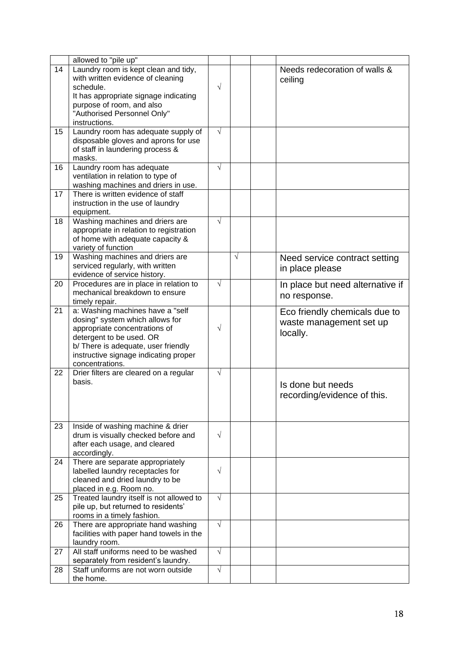|    | allowed to "pile up"                     |            |            |                                  |
|----|------------------------------------------|------------|------------|----------------------------------|
| 14 | Laundry room is kept clean and tidy,     |            |            | Needs redecoration of walls &    |
|    | with written evidence of cleaning        |            |            | ceiling                          |
|    | schedule.                                | $\sqrt{}$  |            |                                  |
|    | It has appropriate signage indicating    |            |            |                                  |
|    | purpose of room, and also                |            |            |                                  |
|    | "Authorised Personnel Only"              |            |            |                                  |
|    | instructions.                            |            |            |                                  |
| 15 | Laundry room has adequate supply of      | $\sqrt{}$  |            |                                  |
|    |                                          |            |            |                                  |
|    | disposable gloves and aprons for use     |            |            |                                  |
|    | of staff in laundering process &         |            |            |                                  |
|    | masks.                                   |            |            |                                  |
| 16 | Laundry room has adequate                | $\sqrt{}$  |            |                                  |
|    | ventilation in relation to type of       |            |            |                                  |
|    | washing machines and driers in use.      |            |            |                                  |
| 17 | There is written evidence of staff       |            |            |                                  |
|    | instruction in the use of laundry        |            |            |                                  |
|    | equipment.                               |            |            |                                  |
| 18 | Washing machines and driers are          | $\sqrt{}$  |            |                                  |
|    | appropriate in relation to registration  |            |            |                                  |
|    | of home with adequate capacity &         |            |            |                                  |
|    | variety of function                      |            |            |                                  |
| 19 | Washing machines and driers are          |            | $\sqrt{ }$ | Need service contract setting    |
|    | serviced regularly, with written         |            |            |                                  |
|    | evidence of service history.             |            |            | in place please                  |
| 20 | Procedures are in place in relation to   | $\sqrt{}$  |            |                                  |
|    | mechanical breakdown to ensure           |            |            | In place but need alternative if |
|    |                                          |            |            | no response.                     |
|    | timely repair.                           |            |            |                                  |
| 21 | a: Washing machines have a "self         |            |            | Eco friendly chemicals due to    |
|    | dosing" system which allows for          |            |            | waste management set up          |
|    | appropriate concentrations of            | $\sqrt{}$  |            | locally.                         |
|    | detergent to be used. OR                 |            |            |                                  |
|    | b/ There is adequate, user friendly      |            |            |                                  |
|    | instructive signage indicating proper    |            |            |                                  |
|    | concentrations.                          |            |            |                                  |
| 22 | Drier filters are cleared on a regular   | $\sqrt{}$  |            |                                  |
|    | basis.                                   |            |            | Is done but needs                |
|    |                                          |            |            | recording/evidence of this.      |
|    |                                          |            |            |                                  |
|    |                                          |            |            |                                  |
|    |                                          |            |            |                                  |
| 23 | Inside of washing machine & drier        |            |            |                                  |
|    | drum is visually checked before and      | $\sqrt{}$  |            |                                  |
|    | after each usage, and cleared            |            |            |                                  |
|    | accordingly.                             |            |            |                                  |
| 24 | There are separate appropriately         |            |            |                                  |
|    | labelled laundry receptacles for         | $\sqrt{}$  |            |                                  |
|    | cleaned and dried laundry to be          |            |            |                                  |
|    | placed in e.g. Room no.                  |            |            |                                  |
| 25 | Treated laundry itself is not allowed to | $\sqrt{}$  |            |                                  |
|    |                                          |            |            |                                  |
|    | pile up, but returned to residents'      |            |            |                                  |
|    | rooms in a timely fashion.               | $\sqrt{ }$ |            |                                  |
| 26 | There are appropriate hand washing       |            |            |                                  |
|    | facilities with paper hand towels in the |            |            |                                  |
|    | laundry room.                            |            |            |                                  |
| 27 | All staff uniforms need to be washed     | $\sqrt{ }$ |            |                                  |
|    | separately from resident's laundry.      |            |            |                                  |
| 28 | Staff uniforms are not worn outside      | $\sqrt{}$  |            |                                  |
|    | the home.                                |            |            |                                  |